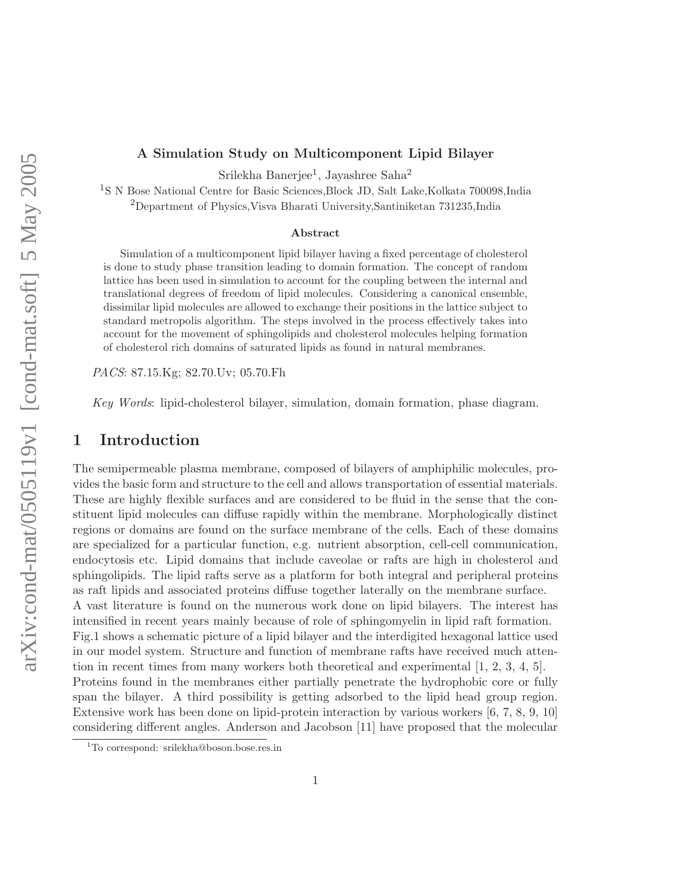### A Simulation Study on Multicomponent Lipid Bilayer

Srilekha Banerjee<sup>1</sup>, Jayashree Saha<sup>2</sup>

<sup>1</sup>S N Bose National Centre for Basic Sciences, Block JD, Salt Lake, Kolkata 700098, India <sup>2</sup>Department of Physics,Visva Bharati University,Santiniketan 731235,India

#### Abstract

Simulation of a multicomponent lipid bilayer having a fixed percentage of cholesterol is done to study phase transition leading to domain formation. The concept of random lattice has been used in simulation to account for the coupling between the internal and translational degrees of freedom of lipid molecules. Considering a canonical ensemble, dissimilar lipid molecules are allowed to exchange their positions in the lattice subject to standard metropolis algorithm. The steps involved in the process effectively takes into account for the movement of sphingolipids and cholesterol molecules helping formation of cholesterol rich domains of saturated lipids as found in natural membranes.

PACS: 87.15.Kg; 82.70.Uv; 05.70.Fh

Key Words: lipid-cholesterol bilayer, simulation, domain formation, phase diagram.

# 1 Introduction

The semipermeable plasma membrane, composed of bilayers of amphiphilic molecules, provides the basic form and structure to the cell and allows transportation of essential materials. These are highly flexible surfaces and are considered to be fluid in the sense that the constituent lipid molecules can diffuse rapidly within the membrane. Morphologically distinct regions or domains are found on the surface membrane of the cells. Each of these domains are specialized for a particular function, e.g. nutrient absorption, cell-cell communication, endocytosis etc. Lipid domains that include caveolae or rafts are high in cholesterol and sphingolipids. The lipid rafts serve as a platform for both integral and peripheral proteins as raft lipids and associated proteins diffuse together laterally on the membrane surface. A vast literature is found on the numerous work done on lipid bilayers. The interest has intensified in recent years mainly because of role of sphingomyelin in lipid raft formation. Fig.1 shows a schematic picture of a lipid bilayer and the interdigited hexagonal lattice used in our model system. Structure and function of membrane rafts have received much attention in recent times from many workers both theoretical and experimental [1, 2, 3, 4, 5]. Proteins found in the membranes either partially penetrate the hydrophobic core or fully span the bilayer. A third possibility is getting adsorbed to the lipid head group region. Extensive work has been done on lipid-protein interaction by various workers [6, 7, 8, 9, 10] considering different angles. Anderson and Jacobson [11] have proposed that the molecular

<sup>&</sup>lt;sup>1</sup>To correspond: srilekha@boson.bose.res.in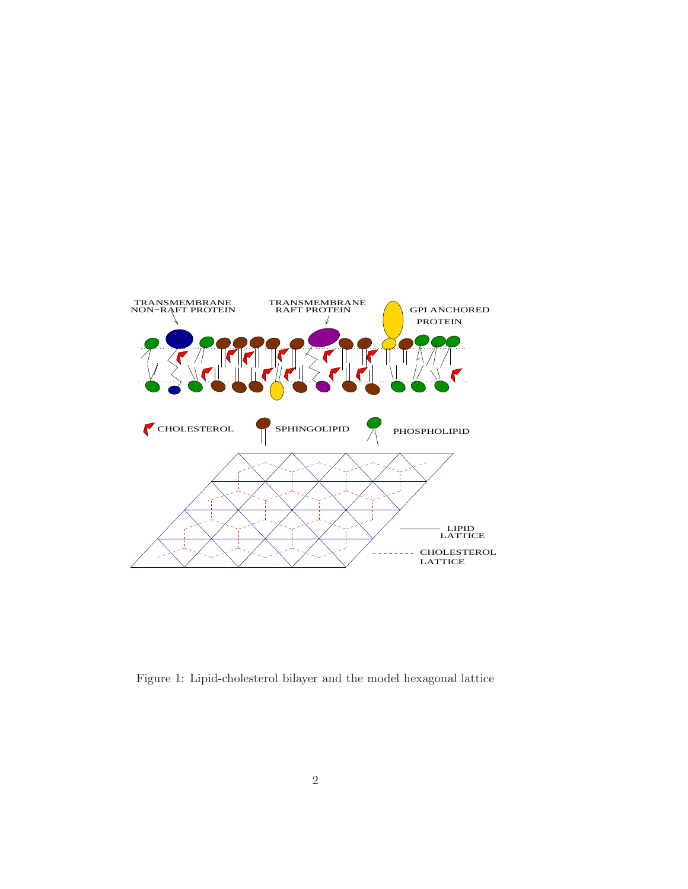

Figure 1: Lipid-cholesterol bilayer and the model hexagonal lattice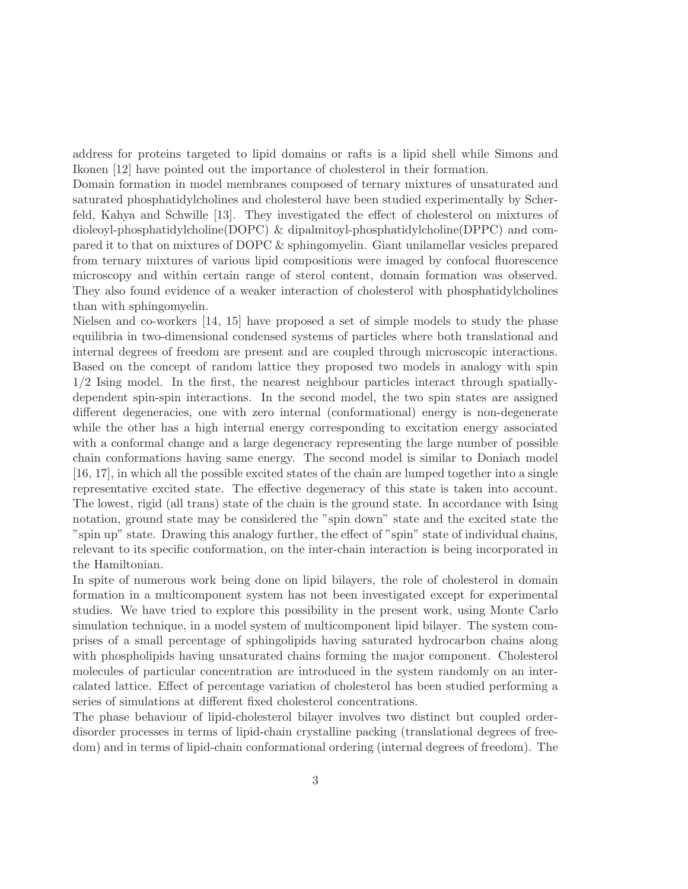address for proteins targeted to lipid domains or rafts is a lipid shell while Simons and Ikonen [12] have pointed out the importance of cholesterol in their formation.

Domain formation in model membranes composed of ternary mixtures of unsaturated and saturated phosphatidylcholines and cholesterol have been studied experimentally by Scherfeld, Kahya and Schwille [13]. They investigated the effect of cholesterol on mixtures of dioleoyl-phosphatidylcholine(DOPC) & dipalmitoyl-phosphatidylcholine(DPPC) and compared it to that on mixtures of DOPC & sphingomyelin. Giant unilamellar vesicles prepared from ternary mixtures of various lipid compositions were imaged by confocal fluorescence microscopy and within certain range of sterol content, domain formation was observed. They also found evidence of a weaker interaction of cholesterol with phosphatidylcholines than with sphingomyelin.

Nielsen and co-workers [14, 15] have proposed a set of simple models to study the phase equilibria in two-dimensional condensed systems of particles where both translational and internal degrees of freedom are present and are coupled through microscopic interactions. Based on the concept of random lattice they proposed two models in analogy with spin 1/2 Ising model. In the first, the nearest neighbour particles interact through spatiallydependent spin-spin interactions. In the second model, the two spin states are assigned different degeneracies, one with zero internal (conformational) energy is non-degenerate while the other has a high internal energy corresponding to excitation energy associated with a conformal change and a large degeneracy representing the large number of possible chain conformations having same energy. The second model is similar to Doniach model [16, 17], in which all the possible excited states of the chain are lumped together into a single representative excited state. The effective degeneracy of this state is taken into account. The lowest, rigid (all trans) state of the chain is the ground state. In accordance with Ising notation, ground state may be considered the "spin down" state and the excited state the "spin up" state. Drawing this analogy further, the effect of "spin" state of individual chains, relevant to its specific conformation, on the inter-chain interaction is being incorporated in the Hamiltonian.

In spite of numerous work being done on lipid bilayers, the role of cholesterol in domain formation in a multicomponent system has not been investigated except for experimental studies. We have tried to explore this possibility in the present work, using Monte Carlo simulation technique, in a model system of multicomponent lipid bilayer. The system comprises of a small percentage of sphingolipids having saturated hydrocarbon chains along with phospholipids having unsaturated chains forming the major component. Cholesterol molecules of particular concentration are introduced in the system randomly on an intercalated lattice. Effect of percentage variation of cholesterol has been studied performing a series of simulations at different fixed cholesterol concentrations.

The phase behaviour of lipid-cholesterol bilayer involves two distinct but coupled orderdisorder processes in terms of lipid-chain crystalline packing (translational degrees of freedom) and in terms of lipid-chain conformational ordering (internal degrees of freedom). The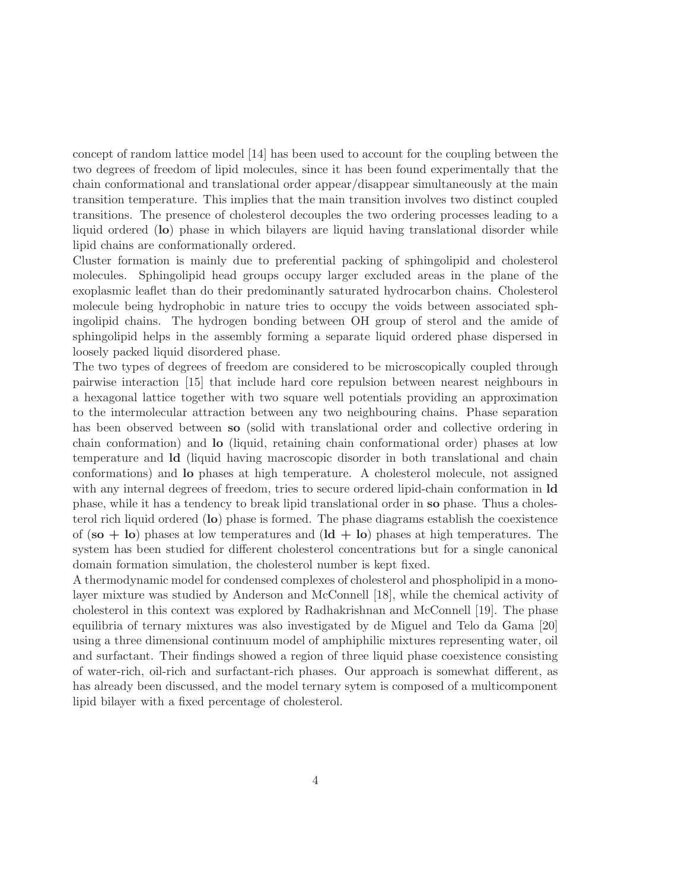concept of random lattice model [14] has been used to account for the coupling between the two degrees of freedom of lipid molecules, since it has been found experimentally that the chain conformational and translational order appear/disappear simultaneously at the main transition temperature. This implies that the main transition involves two distinct coupled transitions. The presence of cholesterol decouples the two ordering processes leading to a liquid ordered (lo) phase in which bilayers are liquid having translational disorder while lipid chains are conformationally ordered.

Cluster formation is mainly due to preferential packing of sphingolipid and cholesterol molecules. Sphingolipid head groups occupy larger excluded areas in the plane of the exoplasmic leaflet than do their predominantly saturated hydrocarbon chains. Cholesterol molecule being hydrophobic in nature tries to occupy the voids between associated sphingolipid chains. The hydrogen bonding between OH group of sterol and the amide of sphingolipid helps in the assembly forming a separate liquid ordered phase dispersed in loosely packed liquid disordered phase.

The two types of degrees of freedom are considered to be microscopically coupled through pairwise interaction [15] that include hard core repulsion between nearest neighbours in a hexagonal lattice together with two square well potentials providing an approximation to the intermolecular attraction between any two neighbouring chains. Phase separation has been observed between so (solid with translational order and collective ordering in chain conformation) and lo (liquid, retaining chain conformational order) phases at low temperature and ld (liquid having macroscopic disorder in both translational and chain conformations) and lo phases at high temperature. A cholesterol molecule, not assigned with any internal degrees of freedom, tries to secure ordered lipid-chain conformation in **ld** phase, while it has a tendency to break lipid translational order in so phase. Thus a cholesterol rich liquid ordered (lo) phase is formed. The phase diagrams establish the coexistence of  $(\mathbf{so} + \mathbf{lo})$  phases at low temperatures and  $(\mathbf{Id} + \mathbf{lo})$  phases at high temperatures. The system has been studied for different cholesterol concentrations but for a single canonical domain formation simulation, the cholesterol number is kept fixed.

A thermodynamic model for condensed complexes of cholesterol and phospholipid in a monolayer mixture was studied by Anderson and McConnell [18], while the chemical activity of cholesterol in this context was explored by Radhakrishnan and McConnell [19]. The phase equilibria of ternary mixtures was also investigated by de Miguel and Telo da Gama [20] using a three dimensional continuum model of amphiphilic mixtures representing water, oil and surfactant. Their findings showed a region of three liquid phase coexistence consisting of water-rich, oil-rich and surfactant-rich phases. Our approach is somewhat different, as has already been discussed, and the model ternary sytem is composed of a multicomponent lipid bilayer with a fixed percentage of cholesterol.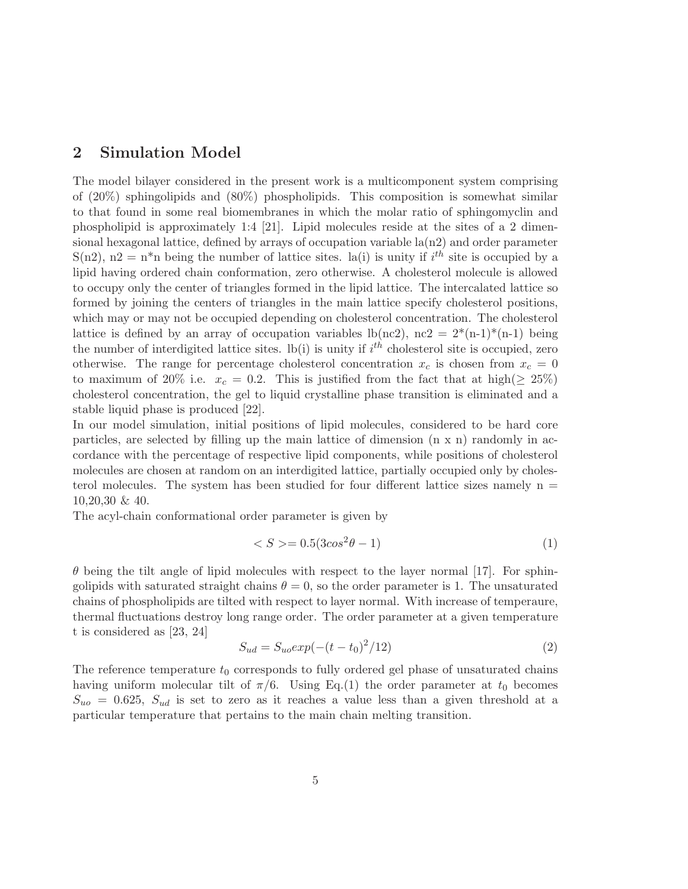## 2 Simulation Model

The model bilayer considered in the present work is a multicomponent system comprising of (20%) sphingolipids and (80%) phospholipids. This composition is somewhat similar to that found in some real biomembranes in which the molar ratio of sphingomyclin and phospholipid is approximately 1:4 [21]. Lipid molecules reside at the sites of a 2 dimensional hexagonal lattice, defined by arrays of occupation variable  $\ln(n2)$  and order parameter  $S(n2)$ ,  $n2 = n^*n$  being the number of lattice sites. la(i) is unity if  $i^{th}$  site is occupied by a lipid having ordered chain conformation, zero otherwise. A cholesterol molecule is allowed to occupy only the center of triangles formed in the lipid lattice. The intercalated lattice so formed by joining the centers of triangles in the main lattice specify cholesterol positions, which may or may not be occupied depending on cholesterol concentration. The cholesterol lattice is defined by an array of occupation variables  $\text{lb}(nc2)$ ,  $\text{nc2} = 2^*(n-1)^*(n-1)$  being the number of interdigited lattice sites.  $\text{lb(i)}$  is unity if  $i^{th}$  cholesterol site is occupied, zero otherwise. The range for percentage cholesterol concentration  $x_c$  is chosen from  $x_c = 0$ to maximum of 20% i.e.  $x_c = 0.2$ . This is justified from the fact that at high( $\geq 25\%$ ) cholesterol concentration, the gel to liquid crystalline phase transition is eliminated and a stable liquid phase is produced [22].

In our model simulation, initial positions of lipid molecules, considered to be hard core particles, are selected by filling up the main lattice of dimension (n x n) randomly in accordance with the percentage of respective lipid components, while positions of cholesterol molecules are chosen at random on an interdigited lattice, partially occupied only by cholesterol molecules. The system has been studied for four different lattice sizes namely  $n =$ 10,20,30 & 40.

The acyl-chain conformational order parameter is given by

$$
\langle S \rangle = 0.5(3\cos^2\theta - 1) \tag{1}
$$

 $\theta$  being the tilt angle of lipid molecules with respect to the layer normal [17]. For sphingolipids with saturated straight chains  $\theta = 0$ , so the order parameter is 1. The unsaturated chains of phospholipids are tilted with respect to layer normal. With increase of temperaure, thermal fluctuations destroy long range order. The order parameter at a given temperature t is considered as [23, 24]

$$
S_{ud} = S_{uo} exp(-(t - t_0)^2 / 12)
$$
\n(2)

The reference temperature  $t_0$  corresponds to fully ordered gel phase of unsaturated chains having uniform molecular tilt of  $\pi/6$ . Using Eq.(1) the order parameter at  $t_0$  becomes  $S_{uo} = 0.625$ ,  $S_{ud}$  is set to zero as it reaches a value less than a given threshold at a particular temperature that pertains to the main chain melting transition.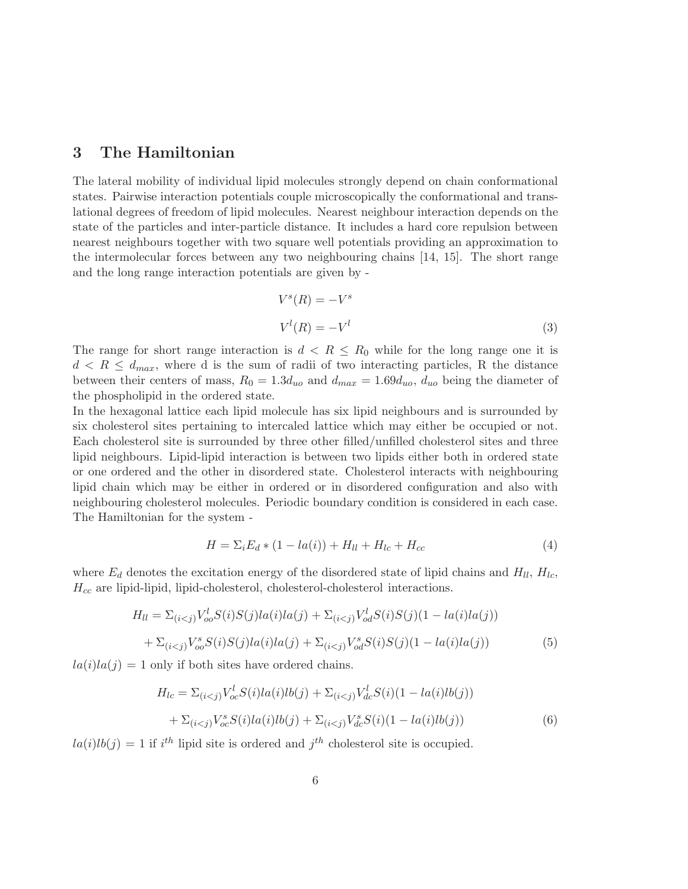## 3 The Hamiltonian

The lateral mobility of individual lipid molecules strongly depend on chain conformational states. Pairwise interaction potentials couple microscopically the conformational and translational degrees of freedom of lipid molecules. Nearest neighbour interaction depends on the state of the particles and inter-particle distance. It includes a hard core repulsion between nearest neighbours together with two square well potentials providing an approximation to the intermolecular forces between any two neighbouring chains [14, 15]. The short range and the long range interaction potentials are given by -

$$
Vs(R) = -Vs
$$
  

$$
Vl(R) = -Vl
$$
 (3)

The range for short range interaction is  $d < R \le R_0$  while for the long range one it is  $d < R \le d_{max}$ , where d is the sum of radii of two interacting particles, R the distance between their centers of mass,  $R_0 = 1.3d_{uo}$  and  $d_{max} = 1.69d_{uo}$ ,  $d_{uo}$  being the diameter of the phospholipid in the ordered state.

In the hexagonal lattice each lipid molecule has six lipid neighbours and is surrounded by six cholesterol sites pertaining to intercaled lattice which may either be occupied or not. Each cholesterol site is surrounded by three other filled/unfilled cholesterol sites and three lipid neighbours. Lipid-lipid interaction is between two lipids either both in ordered state or one ordered and the other in disordered state. Cholesterol interacts with neighbouring lipid chain which may be either in ordered or in disordered configuration and also with neighbouring cholesterol molecules. Periodic boundary condition is considered in each case. The Hamiltonian for the system -

$$
H = \sum_{i} E_d * (1 - la(i)) + H_{ll} + H_{lc} + H_{cc}
$$
\n(4)

where  $E_d$  denotes the excitation energy of the disordered state of lipid chains and  $H_{ll}$ ,  $H_{lc}$ ,  $H_{cc}$  are lipid-lipid, lipid-cholesterol, cholesterol-cholesterol interactions.

$$
H_{ll} = \sum_{(i < j)} V_{oo}^{l} S(i) S(j) l a(i) l a(j) + \sum_{(i < j)} V_{od}^{l} S(i) S(j) (1 - l a(i) l a(j)) + \sum_{(i < j)} V_{oo}^{s} S(i) S(j) l a(i) l a(j) + \sum_{(i < j)} V_{od}^{s} S(i) S(j) (1 - l a(i) l a(j)) \tag{5}
$$

 $la(i)la(j) = 1$  only if both sites have ordered chains.

$$
H_{lc} = \sum_{(i < j)} V_{oc}^l S(i)la(i)lb(j) + \sum_{(i < j)} V_{dc}^l S(i) (1 - la(i)lb(j)) + \sum_{(i < j)} V_{oc}^s S(i)la(i)lb(j) + \sum_{(i < j)} V_{dc}^s S(i) (1 - la(i)lb(j)) \tag{6}
$$

 $la(i)lb(j) = 1$  if  $i^{th}$  lipid site is ordered and  $j^{th}$  cholesterol site is occupied.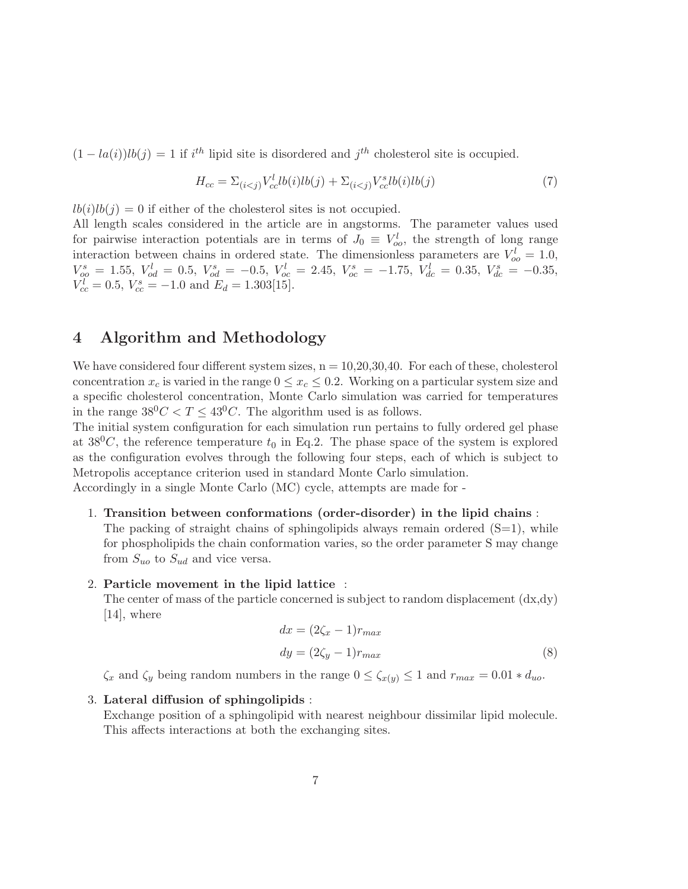$(1 - la(i))lb(j) = 1$  if i<sup>th</sup> lipid site is disordered and j<sup>th</sup> cholesterol site is occupied.

$$
H_{cc} = \sum_{(i < j)} V_{cc}^l b(i) l b(j) + \sum_{(i < j)} V_{cc}^s l b(i) l b(j) \tag{7}
$$

 $lb(i)lb(j) = 0$  if either of the cholesterol sites is not occupied.

All length scales considered in the article are in angstorms. The parameter values used for pairwise interaction potentials are in terms of  $J_0 \equiv V_{oo}^l$ , the strength of long range interaction between chains in ordered state. The dimensionless parameters are  $V_{oo}^l = 1.0$ ,  $V_{oo}^s = 1.55, V_{od}^l = 0.5, V_{od}^s = -0.5, V_{oc}^l = 2.45, V_{oc}^s = -1.75, V_{dc}^l = 0.35, V_{dc}^s = -0.35,$  $V_{cc}^l = 0.5, V_{cc}^s = -1.0 \text{ and } E_d = 1.303[15].$ 

## 4 Algorithm and Methodology

We have considered four different system sizes,  $n = 10,20,30,40$ . For each of these, cholesterol concentration  $x_c$  is varied in the range  $0 \le x_c \le 0.2$ . Working on a particular system size and a specific cholesterol concentration, Monte Carlo simulation was carried for temperatures in the range  $38^0C < T \leq 43^0C$ . The algorithm used is as follows.

The initial system configuration for each simulation run pertains to fully ordered gel phase at  $38^0C$ , the reference temperature  $t_0$  in Eq.2. The phase space of the system is explored as the configuration evolves through the following four steps, each of which is subject to Metropolis acceptance criterion used in standard Monte Carlo simulation.

Accordingly in a single Monte Carlo (MC) cycle, attempts are made for -

### 1. Transition between conformations (order-disorder) in the lipid chains :

The packing of straight chains of sphingolipids always remain ordered  $(S=1)$ , while for phospholipids the chain conformation varies, so the order parameter S may change from  $S_{uo}$  to  $S_{ud}$  and vice versa.

#### 2. Particle movement in the lipid lattice :

The center of mass of the particle concerned is subject to random displacement  $(dx,dy)$ [14], where

$$
dx = (2\zeta_x - 1)r_{max}
$$
  

$$
dy = (2\zeta_y - 1)r_{max}
$$
 (8)

 $\zeta_x$  and  $\zeta_y$  being random numbers in the range  $0 \leq \zeta_{x(y)} \leq 1$  and  $r_{max} = 0.01 * d_{uo}$ .

#### 3. Lateral diffusion of sphingolipids :

Exchange position of a sphingolipid with nearest neighbour dissimilar lipid molecule. This affects interactions at both the exchanging sites.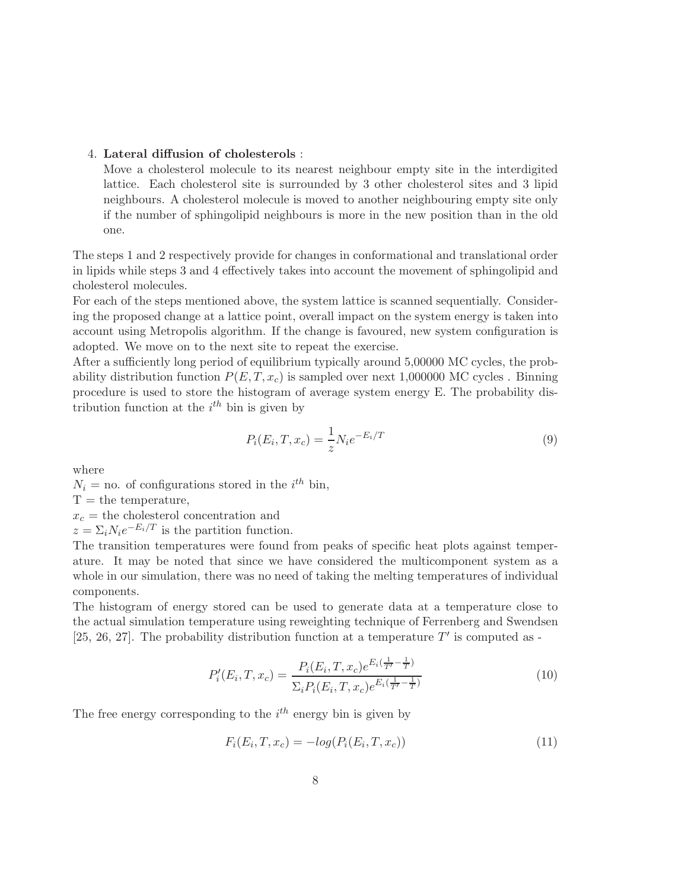### 4. Lateral diffusion of cholesterols :

Move a cholesterol molecule to its nearest neighbour empty site in the interdigited lattice. Each cholesterol site is surrounded by 3 other cholesterol sites and 3 lipid neighbours. A cholesterol molecule is moved to another neighbouring empty site only if the number of sphingolipid neighbours is more in the new position than in the old one.

The steps 1 and 2 respectively provide for changes in conformational and translational order in lipids while steps 3 and 4 effectively takes into account the movement of sphingolipid and cholesterol molecules.

For each of the steps mentioned above, the system lattice is scanned sequentially. Considering the proposed change at a lattice point, overall impact on the system energy is taken into account using Metropolis algorithm. If the change is favoured, new system configuration is adopted. We move on to the next site to repeat the exercise.

After a sufficiently long period of equilibrium typically around 5,00000 MC cycles, the probability distribution function  $P(E, T, x_c)$  is sampled over next 1,000000 MC cycles. Binning procedure is used to store the histogram of average system energy E. The probability distribution function at the  $i^{th}$  bin is given by

$$
P_i(E_i, T, x_c) = \frac{1}{z} N_i e^{-E_i/T}
$$
\n(9)

where

 $N_i$  = no. of configurations stored in the  $i^{th}$  bin,

 $T =$  the temperature,

 $x_c$  = the cholesterol concentration and

 $z = \sum_i N_i e^{-E_i/T}$  is the partition function.

The transition temperatures were found from peaks of specific heat plots against temperature. It may be noted that since we have considered the multicomponent system as a whole in our simulation, there was no need of taking the melting temperatures of individual components.

The histogram of energy stored can be used to generate data at a temperature close to the actual simulation temperature using reweighting technique of Ferrenberg and Swendsen [25, 26, 27]. The probability distribution function at a temperature  $T'$  is computed as -

$$
P'_{i}(E_{i}, T, x_{c}) = \frac{P_{i}(E_{i}, T, x_{c})e^{E_{i}(\frac{1}{T'} - \frac{1}{T})}}{\Sigma_{i}P_{i}(E_{i}, T, x_{c})e^{E_{i}(\frac{1}{T'} - \frac{1}{T})}}
$$
(10)

The free energy corresponding to the  $i^{th}$  energy bin is given by

$$
F_i(E_i, T, x_c) = -log(P_i(E_i, T, x_c))
$$
\n
$$
(11)
$$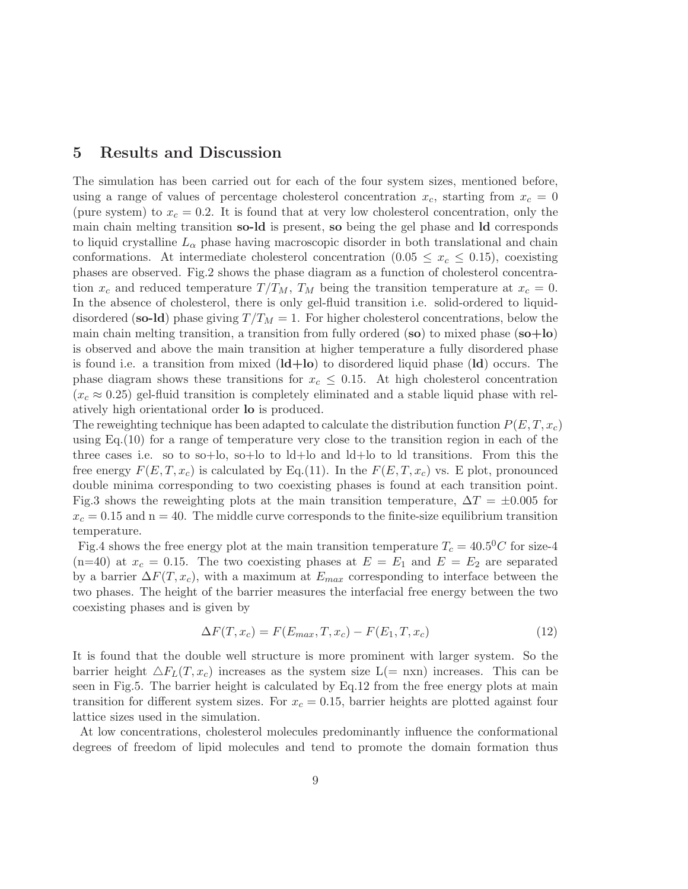### 5 Results and Discussion

The simulation has been carried out for each of the four system sizes, mentioned before, using a range of values of percentage cholesterol concentration  $x_c$ , starting from  $x_c = 0$ (pure system) to  $x_c = 0.2$ . It is found that at very low cholesterol concentration, only the main chain melting transition so-ld is present, so being the gel phase and ld corresponds to liquid crystalline  $L_{\alpha}$  phase having macroscopic disorder in both translational and chain conformations. At intermediate cholesterol concentration (0.05  $\leq x_c \leq$  0.15), coexisting phases are observed. Fig.2 shows the phase diagram as a function of cholesterol concentration  $x_c$  and reduced temperature  $T/T_M$ ,  $T_M$  being the transition temperature at  $x_c = 0$ . In the absence of cholesterol, there is only gel-fluid transition i.e. solid-ordered to liquiddisordered (so-ld) phase giving  $T/T_M = 1$ . For higher cholesterol concentrations, below the main chain melting transition, a transition from fully ordered (so) to mixed phase  $(so+lo)$ is observed and above the main transition at higher temperature a fully disordered phase is found i.e. a transition from mixed  $(\text{Id} + \text{lo})$  to disordered liquid phase  $(\text{Id})$  occurs. The phase diagram shows these transitions for  $x_c \leq 0.15$ . At high cholesterol concentration  $(x_c \approx 0.25)$  gel-fluid transition is completely eliminated and a stable liquid phase with relatively high orientational order lo is produced.

The reweighting technique has been adapted to calculate the distribution function  $P(E, T, x_c)$ using Eq.(10) for a range of temperature very close to the transition region in each of the three cases i.e. so to so+lo, so+lo to ld+lo and ld+lo to ld transitions. From this the free energy  $F(E, T, x_c)$  is calculated by Eq.(11). In the  $F(E, T, x_c)$  vs. E plot, pronounced double minima corresponding to two coexisting phases is found at each transition point. Fig.3 shows the reweighting plots at the main transition temperature,  $\Delta T = \pm 0.005$  for  $x_c = 0.15$  and  $n = 40$ . The middle curve corresponds to the finite-size equilibrium transition temperature.

Fig.4 shows the free energy plot at the main transition temperature  $T_c = 40.5^{\circ}C$  for size-4  $(n=40)$  at  $x_c = 0.15$ . The two coexisting phases at  $E = E_1$  and  $E = E_2$  are separated by a barrier  $\Delta F(T, x_c)$ , with a maximum at  $E_{max}$  corresponding to interface between the two phases. The height of the barrier measures the interfacial free energy between the two coexisting phases and is given by

$$
\Delta F(T, x_c) = F(E_{max}, T, x_c) - F(E_1, T, x_c)
$$
\n
$$
(12)
$$

It is found that the double well structure is more prominent with larger system. So the barrier height  $\Delta F_L(T, x_c)$  increases as the system size  $L(=\text{nxn})$  increases. This can be seen in Fig.5. The barrier height is calculated by Eq.12 from the free energy plots at main transition for different system sizes. For  $x_c = 0.15$ , barrier heights are plotted against four lattice sizes used in the simulation.

At low concentrations, cholesterol molecules predominantly influence the conformational degrees of freedom of lipid molecules and tend to promote the domain formation thus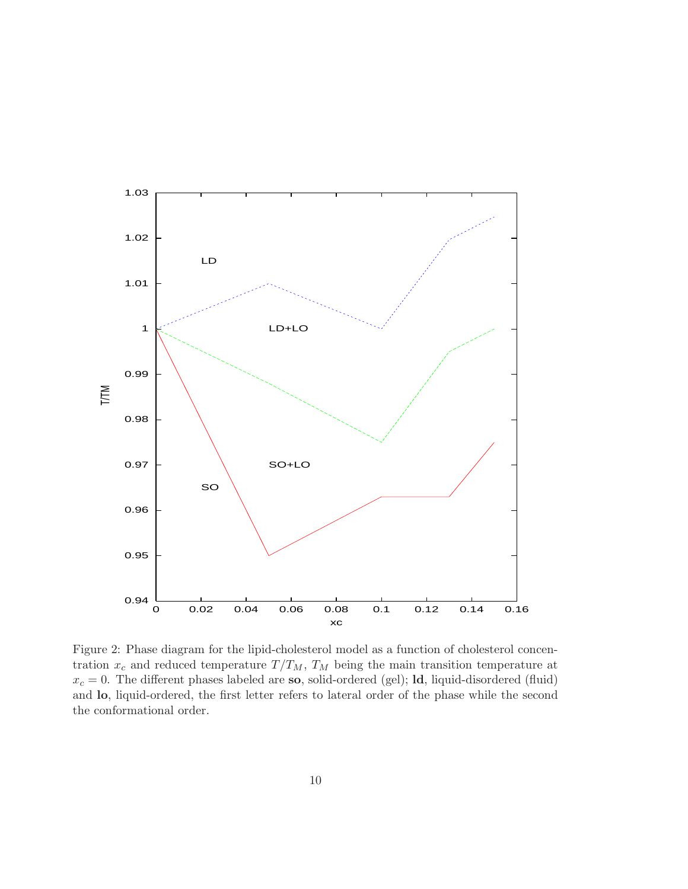

Figure 2: Phase diagram for the lipid-cholesterol model as a function of cholesterol concentration  $x_c$  and reduced temperature  $T/T_M$ ,  $T_M$  being the main transition temperature at  $x_c = 0$ . The different phases labeled are so, solid-ordered (gel); **ld**, liquid-disordered (fluid) and lo, liquid-ordered, the first letter refers to lateral order of the phase while the second the conformational order.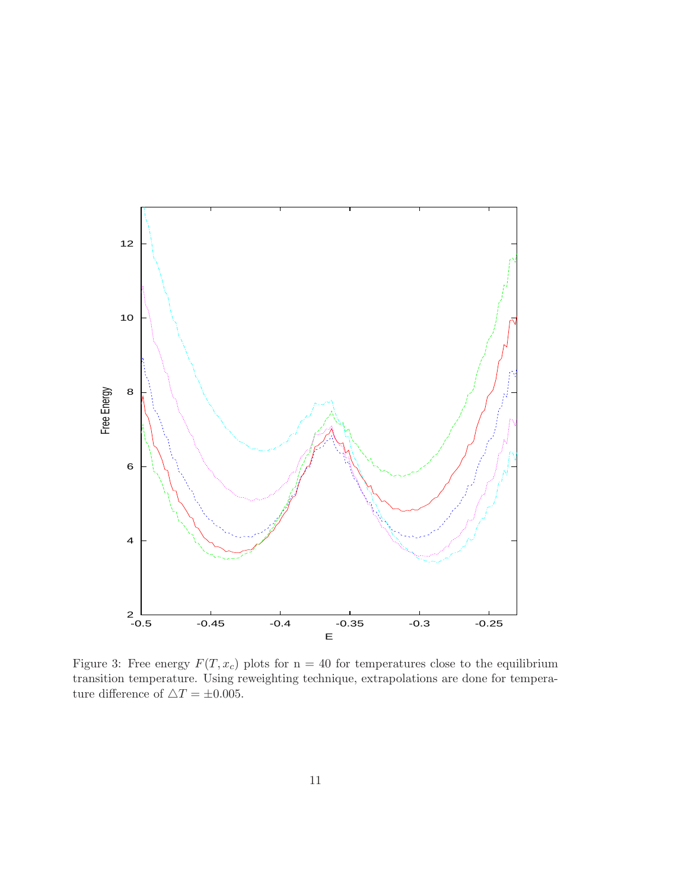

Figure 3: Free energy  $F(T, x_c)$  plots for n = 40 for temperatures close to the equilibrium transition temperature. Using reweighting technique, extrapolations are done for temperature difference of  $\triangle T = \pm 0.005.$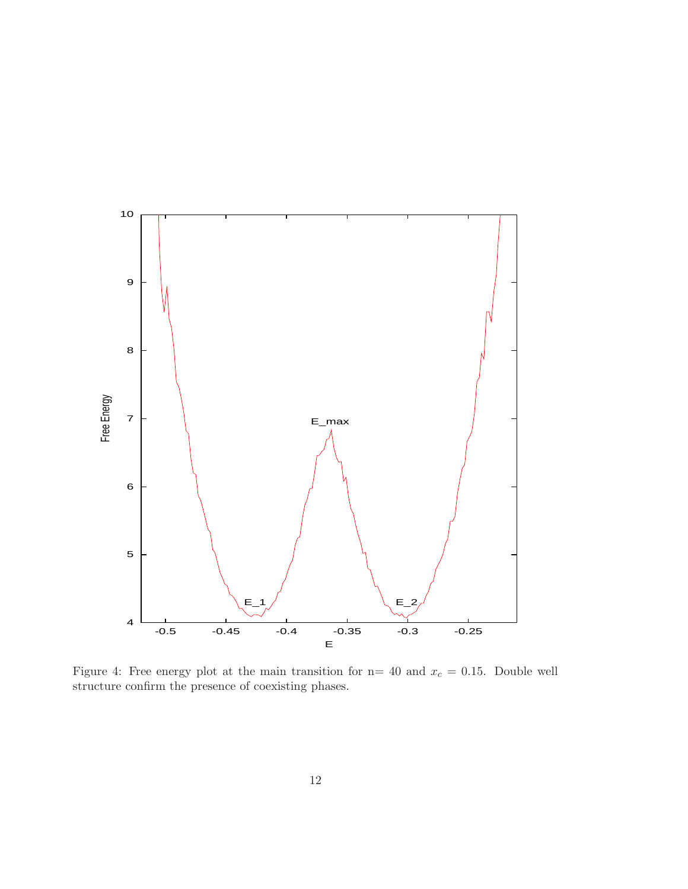

Figure 4: Free energy plot at the main transition for  $n=40$  and  $x_c = 0.15$ . Double well structure confirm the presence of coexisting phases.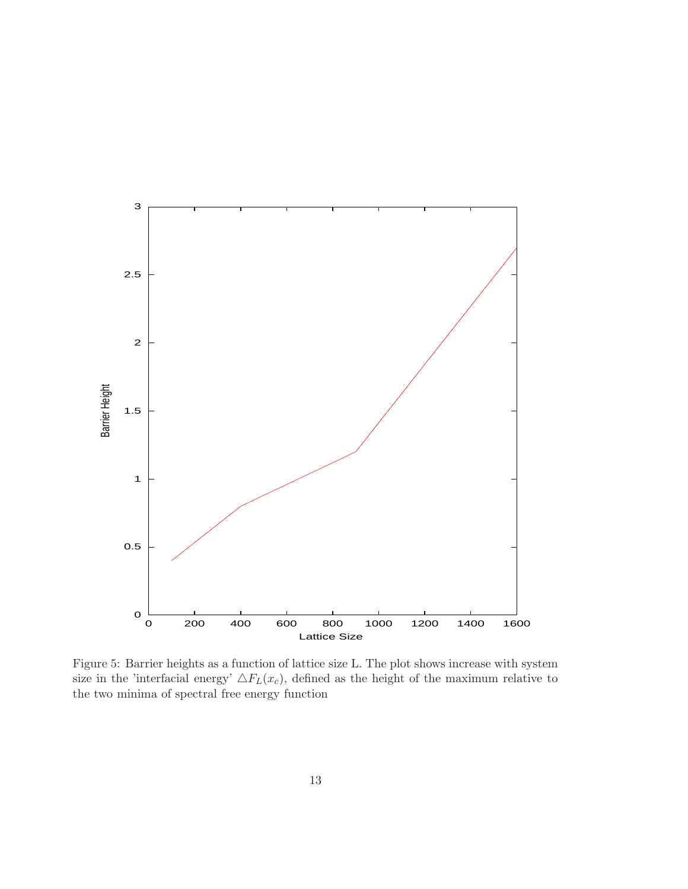

Figure 5: Barrier heights as a function of lattice size L. The plot shows increase with system size in the 'interfacial energy'  $\Delta F_L(x_c)$ , defined as the height of the maximum relative to the two minima of spectral free energy function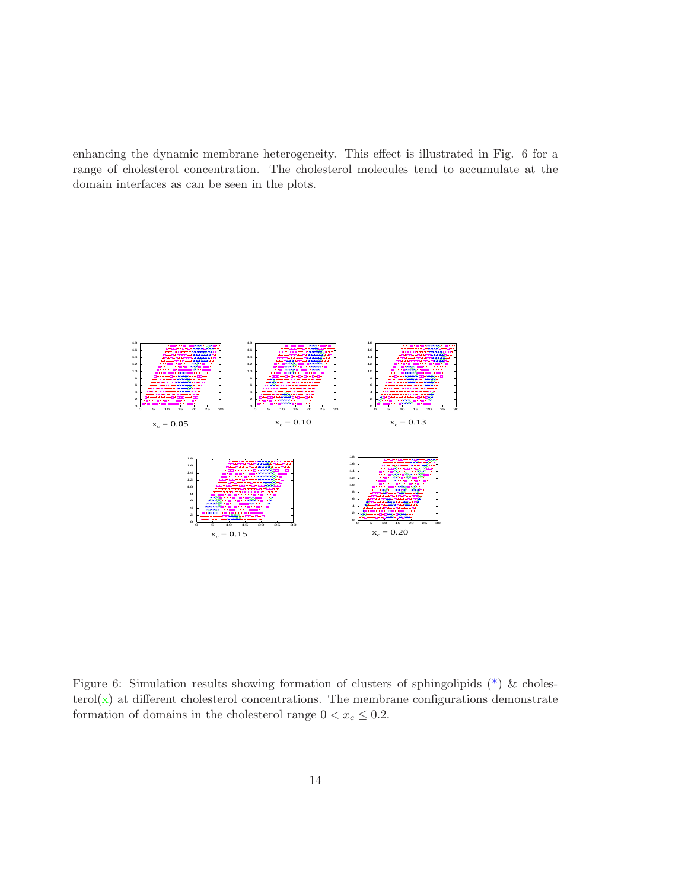enhancing the dynamic membrane heterogeneity. This effect is illustrated in Fig. 6 for a range of cholesterol concentration. The cholesterol molecules tend to accumulate at the domain interfaces as can be seen in the plots.



Figure 6: Simulation results showing formation of clusters of sphingolipids  $(*)$  & cholesterol( $\mathbf{x}$ ) at different cholesterol concentrations. The membrane configurations demonstrate formation of domains in the cholesterol range  $0 < x_c \leq 0.2$ .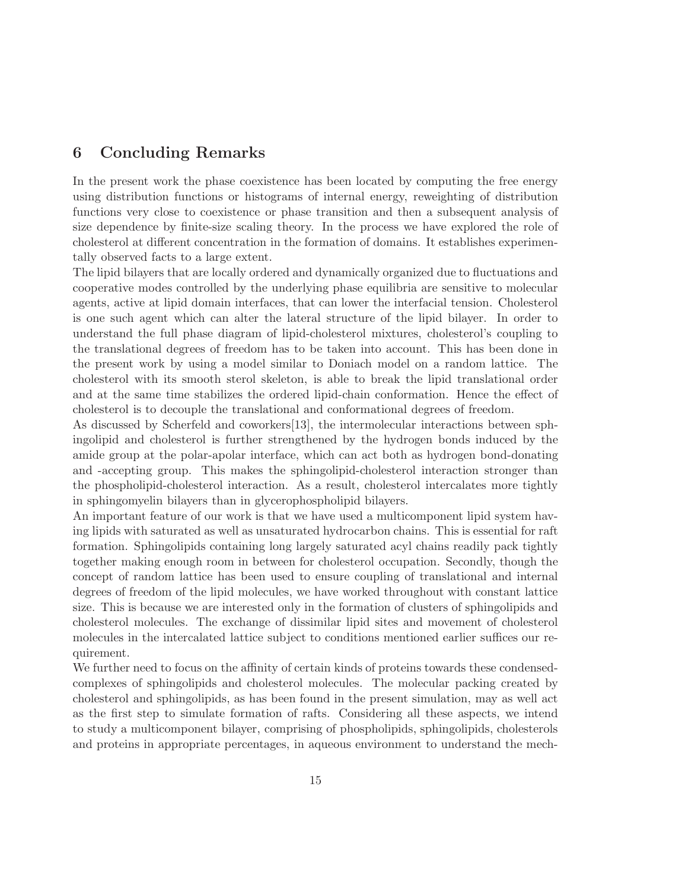# 6 Concluding Remarks

In the present work the phase coexistence has been located by computing the free energy using distribution functions or histograms of internal energy, reweighting of distribution functions very close to coexistence or phase transition and then a subsequent analysis of size dependence by finite-size scaling theory. In the process we have explored the role of cholesterol at different concentration in the formation of domains. It establishes experimentally observed facts to a large extent.

The lipid bilayers that are locally ordered and dynamically organized due to fluctuations and cooperative modes controlled by the underlying phase equilibria are sensitive to molecular agents, active at lipid domain interfaces, that can lower the interfacial tension. Cholesterol is one such agent which can alter the lateral structure of the lipid bilayer. In order to understand the full phase diagram of lipid-cholesterol mixtures, cholesterol's coupling to the translational degrees of freedom has to be taken into account. This has been done in the present work by using a model similar to Doniach model on a random lattice. The cholesterol with its smooth sterol skeleton, is able to break the lipid translational order and at the same time stabilizes the ordered lipid-chain conformation. Hence the effect of cholesterol is to decouple the translational and conformational degrees of freedom.

As discussed by Scherfeld and coworkers[13], the intermolecular interactions between sphingolipid and cholesterol is further strengthened by the hydrogen bonds induced by the amide group at the polar-apolar interface, which can act both as hydrogen bond-donating and -accepting group. This makes the sphingolipid-cholesterol interaction stronger than the phospholipid-cholesterol interaction. As a result, cholesterol intercalates more tightly in sphingomyelin bilayers than in glycerophospholipid bilayers.

An important feature of our work is that we have used a multicomponent lipid system having lipids with saturated as well as unsaturated hydrocarbon chains. This is essential for raft formation. Sphingolipids containing long largely saturated acyl chains readily pack tightly together making enough room in between for cholesterol occupation. Secondly, though the concept of random lattice has been used to ensure coupling of translational and internal degrees of freedom of the lipid molecules, we have worked throughout with constant lattice size. This is because we are interested only in the formation of clusters of sphingolipids and cholesterol molecules. The exchange of dissimilar lipid sites and movement of cholesterol molecules in the intercalated lattice subject to conditions mentioned earlier suffices our requirement.

We further need to focus on the affinity of certain kinds of proteins towards these condensedcomplexes of sphingolipids and cholesterol molecules. The molecular packing created by cholesterol and sphingolipids, as has been found in the present simulation, may as well act as the first step to simulate formation of rafts. Considering all these aspects, we intend to study a multicomponent bilayer, comprising of phospholipids, sphingolipids, cholesterols and proteins in appropriate percentages, in aqueous environment to understand the mech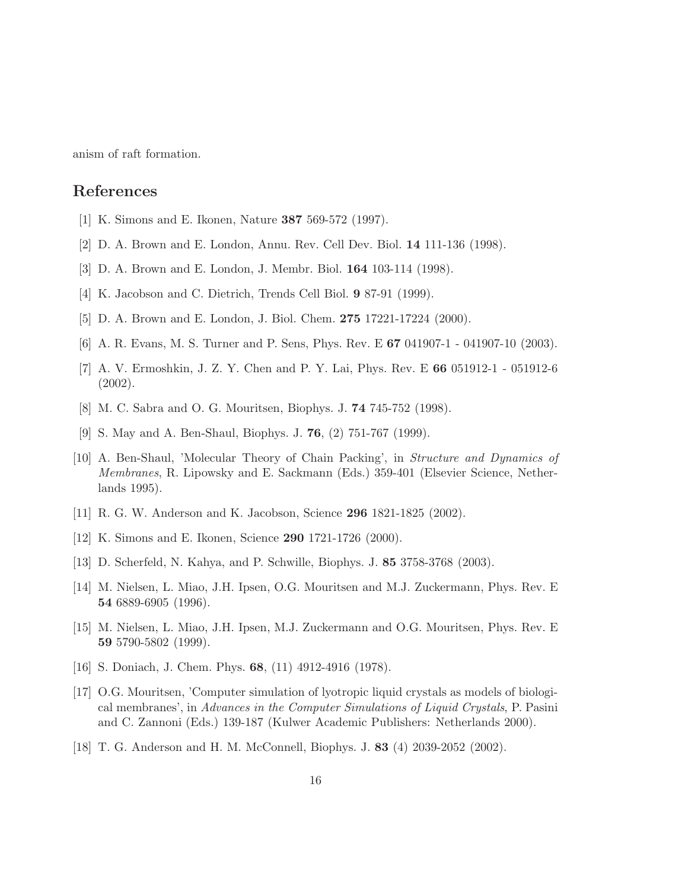anism of raft formation.

## References

- [1] K. Simons and E. Ikonen, Nature 387 569-572 (1997).
- [2] D. A. Brown and E. London, Annu. Rev. Cell Dev. Biol. 14 111-136 (1998).
- [3] D. A. Brown and E. London, J. Membr. Biol. 164 103-114 (1998).
- [4] K. Jacobson and C. Dietrich, Trends Cell Biol. 9 87-91 (1999).
- [5] D. A. Brown and E. London, J. Biol. Chem. 275 17221-17224 (2000).
- [6] A. R. Evans, M. S. Turner and P. Sens, Phys. Rev. E 67 041907-1 041907-10 (2003).
- [7] A. V. Ermoshkin, J. Z. Y. Chen and P. Y. Lai, Phys. Rev. E 66 051912-1 051912-6 (2002).
- [8] M. C. Sabra and O. G. Mouritsen, Biophys. J. 74 745-752 (1998).
- [9] S. May and A. Ben-Shaul, Biophys. J. 76, (2) 751-767 (1999).
- [10] A. Ben-Shaul, 'Molecular Theory of Chain Packing', in Structure and Dynamics of Membranes, R. Lipowsky and E. Sackmann (Eds.) 359-401 (Elsevier Science, Netherlands 1995).
- [11] R. G. W. Anderson and K. Jacobson, Science 296 1821-1825 (2002).
- [12] K. Simons and E. Ikonen, Science 290 1721-1726 (2000).
- [13] D. Scherfeld, N. Kahya, and P. Schwille, Biophys. J. 85 3758-3768 (2003).
- [14] M. Nielsen, L. Miao, J.H. Ipsen, O.G. Mouritsen and M.J. Zuckermann, Phys. Rev. E 54 6889-6905 (1996).
- [15] M. Nielsen, L. Miao, J.H. Ipsen, M.J. Zuckermann and O.G. Mouritsen, Phys. Rev. E 59 5790-5802 (1999).
- [16] S. Doniach, J. Chem. Phys. **68**, (11) 4912-4916 (1978).
- [17] O.G. Mouritsen, 'Computer simulation of lyotropic liquid crystals as models of biological membranes', in Advances in the Computer Simulations of Liquid Crystals, P. Pasini and C. Zannoni (Eds.) 139-187 (Kulwer Academic Publishers: Netherlands 2000).
- [18] T. G. Anderson and H. M. McConnell, Biophys. J. 83 (4) 2039-2052 (2002).